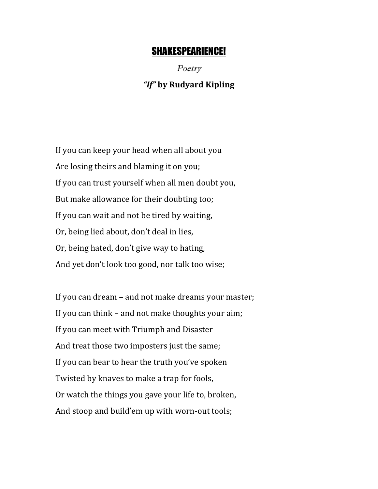## SHAKESPEARIENCE!

Poetry *"If"* **by Rudyard Kipling**

If you can keep your head when all about you Are losing theirs and blaming it on you; If you can trust yourself when all men doubt you, But make allowance for their doubting too; If you can wait and not be tired by waiting, Or, being lied about, don't deal in lies, Or, being hated, don't give way to hating, And yet don't look too good, nor talk too wise;

If you can dream  $-$  and not make dreams your master; If you can think  $-$  and not make thoughts your aim; If you can meet with Triumph and Disaster And treat those two imposters just the same; If you can bear to hear the truth you've spoken Twisted by knaves to make a trap for fools, Or watch the things you gave your life to, broken, And stoop and build'em up with worn-out tools;